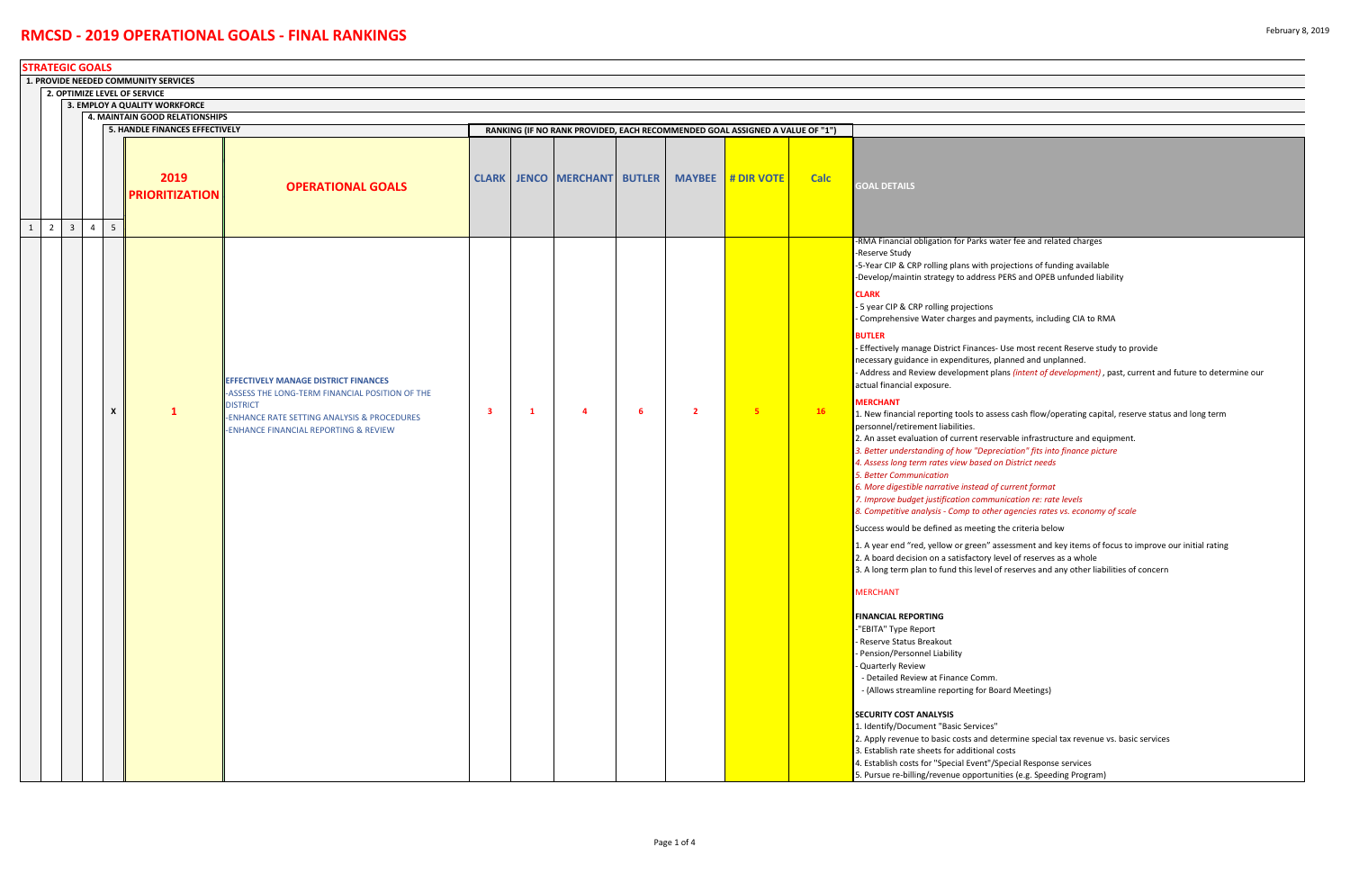*6. More digestible narrative instead of current format 7. Improve budget justification communication re: rate levels 8. A. Competion analysis analysis and ther agencies rates vs. economy of scale* 

g the criteria below

assessment and key items of focus to improve our initial rating

level of reserves as a whole

I of reserves and any other liabilities of concern

Board Meetings)

determine special tax revenue vs. basic services /Special Response services Inities (e.g. Speeding Program)

|              | <b>STRATEGIC GOALS</b>                                               |                         |                |                                |                                |                                                                                                                                                                                                           |    |    |                                    |   |                |                                                                              |             |                                                                                                                                                                                                                                                                                                                                                                                                                                                                                                                                                                                                                                                                                                                                                                                                                                                                                                                                                                                                                                                                                                                                                                                                                                                                                                                                                                                                                                                                                                                                                                                                                            |
|--------------|----------------------------------------------------------------------|-------------------------|----------------|--------------------------------|--------------------------------|-----------------------------------------------------------------------------------------------------------------------------------------------------------------------------------------------------------|----|----|------------------------------------|---|----------------|------------------------------------------------------------------------------|-------------|----------------------------------------------------------------------------------------------------------------------------------------------------------------------------------------------------------------------------------------------------------------------------------------------------------------------------------------------------------------------------------------------------------------------------------------------------------------------------------------------------------------------------------------------------------------------------------------------------------------------------------------------------------------------------------------------------------------------------------------------------------------------------------------------------------------------------------------------------------------------------------------------------------------------------------------------------------------------------------------------------------------------------------------------------------------------------------------------------------------------------------------------------------------------------------------------------------------------------------------------------------------------------------------------------------------------------------------------------------------------------------------------------------------------------------------------------------------------------------------------------------------------------------------------------------------------------------------------------------------------------|
|              | 1. PROVIDE NEEDED COMMUNITY SERVICES<br>2. OPTIMIZE LEVEL OF SERVICE |                         |                |                                |                                |                                                                                                                                                                                                           |    |    |                                    |   |                |                                                                              |             |                                                                                                                                                                                                                                                                                                                                                                                                                                                                                                                                                                                                                                                                                                                                                                                                                                                                                                                                                                                                                                                                                                                                                                                                                                                                                                                                                                                                                                                                                                                                                                                                                            |
|              |                                                                      |                         |                |                                |                                |                                                                                                                                                                                                           |    |    |                                    |   |                |                                                                              |             |                                                                                                                                                                                                                                                                                                                                                                                                                                                                                                                                                                                                                                                                                                                                                                                                                                                                                                                                                                                                                                                                                                                                                                                                                                                                                                                                                                                                                                                                                                                                                                                                                            |
|              | 3. EMPLOY A QUALITY WORKFORCE<br>4. MAINTAIN GOOD RELATIONSHIPS      |                         |                |                                |                                |                                                                                                                                                                                                           |    |    |                                    |   |                |                                                                              |             |                                                                                                                                                                                                                                                                                                                                                                                                                                                                                                                                                                                                                                                                                                                                                                                                                                                                                                                                                                                                                                                                                                                                                                                                                                                                                                                                                                                                                                                                                                                                                                                                                            |
|              |                                                                      |                         |                |                                | 5. HANDLE FINANCES EFFECTIVELY |                                                                                                                                                                                                           |    |    |                                    |   |                | RANKING (IF NO RANK PROVIDED, EACH RECOMMENDED GOAL ASSIGNED A VALUE OF "1") |             |                                                                                                                                                                                                                                                                                                                                                                                                                                                                                                                                                                                                                                                                                                                                                                                                                                                                                                                                                                                                                                                                                                                                                                                                                                                                                                                                                                                                                                                                                                                                                                                                                            |
|              |                                                                      |                         |                |                                | 2019<br><b>PRIORITIZATION</b>  | <b>OPERATIONAL GOALS</b>                                                                                                                                                                                  |    |    | <b>CLARK JENCO MERCHANT BUTLER</b> |   | <b>MAYBEE</b>  | # DIR VOTE                                                                   | <b>Calc</b> | <b>GOAL DETAILS</b>                                                                                                                                                                                                                                                                                                                                                                                                                                                                                                                                                                                                                                                                                                                                                                                                                                                                                                                                                                                                                                                                                                                                                                                                                                                                                                                                                                                                                                                                                                                                                                                                        |
| $\mathbf{1}$ | $\overline{2}$                                                       | $\overline{\mathbf{3}}$ | $\overline{4}$ | 5 <sup>1</sup><br>$\mathsf{x}$ | $\mathbf{1}$                   | <b>EFFECTIVELY MANAGE DISTRICT FINANCES</b><br>-ASSESS THE LONG-TERM FINANCIAL POSITION OF THE<br><b>DISTRICT</b><br>-ENHANCE RATE SETTING ANALYSIS & PROCEDURES<br>-ENHANCE FINANCIAL REPORTING & REVIEW | -3 | -1 | $\overline{a}$                     | 6 | $\overline{2}$ | -5                                                                           | 16          | -RMA Financial obligation for Parks water f<br>-Reserve Study<br>-5-Year CIP & CRP rolling plans with project<br>-Develop/maintin strategy to address PERS<br><b>CLARK</b><br>- 5 year CIP & CRP rolling projections<br>- Comprehensive Water charges and payme<br><b>BUTLER</b><br>- Effectively manage District Finances- Use<br>necessary guidance in expenditures, planne<br>- Address and Review development plans <i>(i</i><br>actual financial exposure.<br><b>MERCHANT</b><br>1. New financial reporting tools to assess ca<br>personnel/retirement liabilities.<br>2. An asset evaluation of current reservable<br>3. Better understanding of how "Depreciati<br>4. Assess long term rates view based on Dis<br><b>5. Better Communication</b><br>6. More digestible narrative instead of curre<br>7. Improve budget justification communicat<br>8. Competitive analysis - Comp to other age<br>Success would be defined as meeting the c<br>1. A year end "red, yellow or green" assess<br>2. A board decision on a satisfactory level o<br>3. A long term plan to fund this level of rese<br><b>MERCHANT</b><br><b>FINANCIAL REPORTING</b><br>"EBITA" Type Report<br>Reserve Status Breakout<br>- Pension/Personnel Liability<br>- Quarterly Review<br>- Detailed Review at Finance Comm.<br>- (Allows streamline reporting for Board N<br><b>SECURITY COST ANALYSIS</b><br>1. Identify/Document "Basic Services"<br>2. Apply revenue to basic costs and determ<br>3. Establish rate sheets for additional costs<br>4. Establish costs for "Special Event"/Specia<br>5. Pursue re-billing/revenue opportunities |

#### water fee and related charges

projections of funding available s PERS and OPEB unfunded liability

I payments, including CIA to RMA

s- Use most recent Reserve study to provide planned and unplanned. plans *(intent of development)* , past, current and future to determine our

ssess cash flow/operating capital, reserve status and long term

ervable infrastructure and equipment. *3. Better understanding of how "Depreciation" fits into finance picture*  $1$  on District needs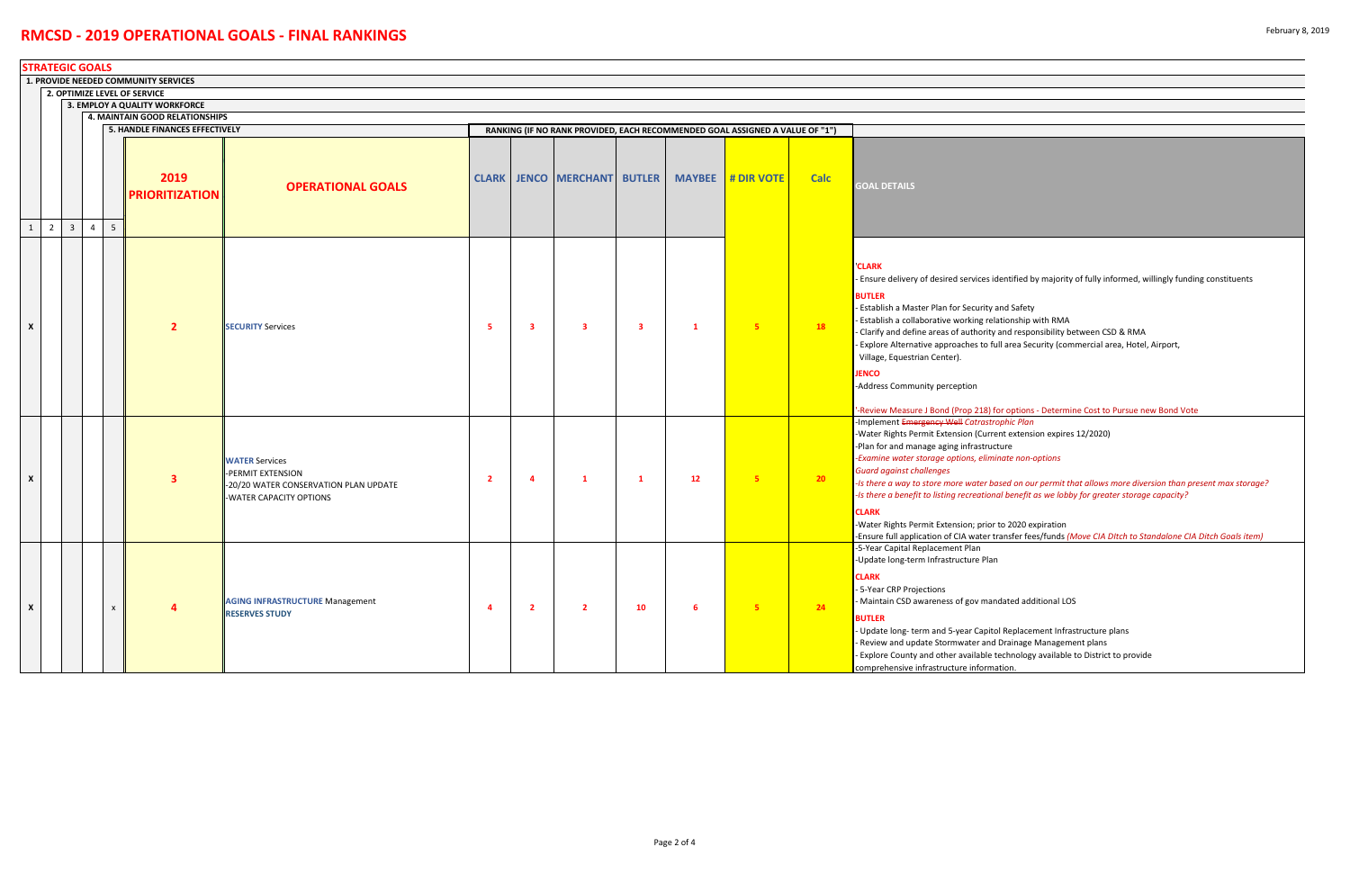18) for options - Determine Cost to Pursue new Bond Vote ‐Implement Emergency Well *Catrastrophic Plan* urrent extension expires 12/2020) tructure *‐Examine water storage options, eliminate non‐options*

|              | <b>STRATEGIC GOALS</b>                                          |                         |                |                 |                                       |                                                                                                               |                |                         |                                    |              |               |                                                                              |                 |                                                                                                                                                                                                                                                                                                                                                                                                                                       |
|--------------|-----------------------------------------------------------------|-------------------------|----------------|-----------------|---------------------------------------|---------------------------------------------------------------------------------------------------------------|----------------|-------------------------|------------------------------------|--------------|---------------|------------------------------------------------------------------------------|-----------------|---------------------------------------------------------------------------------------------------------------------------------------------------------------------------------------------------------------------------------------------------------------------------------------------------------------------------------------------------------------------------------------------------------------------------------------|
|              | 1. PROVIDE NEEDED COMMUNITY SERVICES                            |                         |                |                 |                                       |                                                                                                               |                |                         |                                    |              |               |                                                                              |                 |                                                                                                                                                                                                                                                                                                                                                                                                                                       |
|              | 2. OPTIMIZE LEVEL OF SERVICE                                    |                         |                |                 |                                       |                                                                                                               |                |                         |                                    |              |               |                                                                              |                 |                                                                                                                                                                                                                                                                                                                                                                                                                                       |
|              | 3. EMPLOY A QUALITY WORKFORCE<br>4. MAINTAIN GOOD RELATIONSHIPS |                         |                |                 |                                       |                                                                                                               |                |                         |                                    |              |               |                                                                              |                 |                                                                                                                                                                                                                                                                                                                                                                                                                                       |
|              |                                                                 |                         |                |                 | <b>5. HANDLE FINANCES EFFECTIVELY</b> |                                                                                                               |                |                         |                                    |              |               | RANKING (IF NO RANK PROVIDED, EACH RECOMMENDED GOAL ASSIGNED A VALUE OF "1") |                 |                                                                                                                                                                                                                                                                                                                                                                                                                                       |
| $\mathbf{1}$ | $\overline{2}$                                                  | $\overline{\mathbf{3}}$ | $\overline{4}$ | $5\overline{)}$ | 2019<br><b>PRIORITIZATION</b>         | <b>OPERATIONAL GOALS</b>                                                                                      |                |                         | <b>CLARK JENCO MERCHANT BUTLER</b> |              | <b>MAYBEE</b> | # DIR VOTE                                                                   | <b>Calc</b>     | <b>GOAL DETAILS</b>                                                                                                                                                                                                                                                                                                                                                                                                                   |
| X            |                                                                 |                         |                |                 | $\overline{2}$                        | <b>SECURITY Services</b>                                                                                      | -5             | $\overline{\mathbf{3}}$ | 3                                  | 3            | $\mathbf{1}$  | -5.                                                                          | 18              | <b>CLARK</b><br>- Ensure delivery of desired services identif<br><b>BUTLER</b><br><b>Establish a Master Plan for Security and Sa</b><br>- Establish a collaborative working relations<br>- Clarify and define areas of authority and r<br>Explore Alternative approaches to full are<br>Village, Equestrian Center).<br><b>JENCO</b><br>-Address Community perception<br>'-Review Measure J Bond (Prop 218) for opt                   |
| $\mathsf{x}$ |                                                                 |                         |                |                 | $\overline{\mathbf{3}}$               | <b>WATER Services</b><br>PERMIT EXTENSION<br>-20/20 WATER CONSERVATION PLAN UPDATE<br>-WATER CAPACITY OPTIONS | $\overline{2}$ | 4                       | 1                                  | $\mathbf{1}$ | 12            | 5                                                                            | 20 <sub>2</sub> | Implement Emergency Well Catrastrophic<br>-Water Rights Permit Extension (Current ex<br>-Plan for and manage aging infrastructure<br>-Examine water storage options, eliminate i<br><b>Guard against challenges</b><br>-Is there a way to store more water based c<br>-Is there a benefit to listing recreational ber<br><b>CLARK</b><br>-Water Rights Permit Extension; prior to 20<br>-Ensure full application of CIA water transfe |
| X            |                                                                 |                         |                | X               | 4                                     | <b>AGING INFRASTRUCTURE Management</b><br><b>RESERVES STUDY</b>                                               | -4             | $\overline{2}$          | $\overline{2}$                     | 10           | - 6           | 5 <sub>5</sub>                                                               | 24              | -5-Year Capital Replacement Plan<br>-Update long-term Infrastructure Plan<br><b>CLARK</b><br>- 5-Year CRP Projections<br>- Maintain CSD awareness of gov mandated<br><b>BUTLER</b><br>- Update long-term and 5-year Capitol Rep<br>Review and update Stormwater and Drain<br>Explore County and other available techne<br>comprehensive infrastructure information.                                                                   |

*‐Is there a way to store more water based on our permit that allows more diversion than present max storage? ‐Is there a benefit to listing recreational benefit as we lobby for greater storage capacity?*

rior to 2020 expiration er transfer fees/funds *(Move CIA DItch to Standalone CIA Ditch Goals item)* 

mandated additional LOS

pitol Replacement Infrastructure plans and Drainage Management plans ble technology available to District to provide

es identified by majority of fully informed, willingly funding constituents

ity and Safety

- relationship with RMA
- rity and responsibility between CSD & RMA
- to full area Security (commercial area, Hotel, Airport,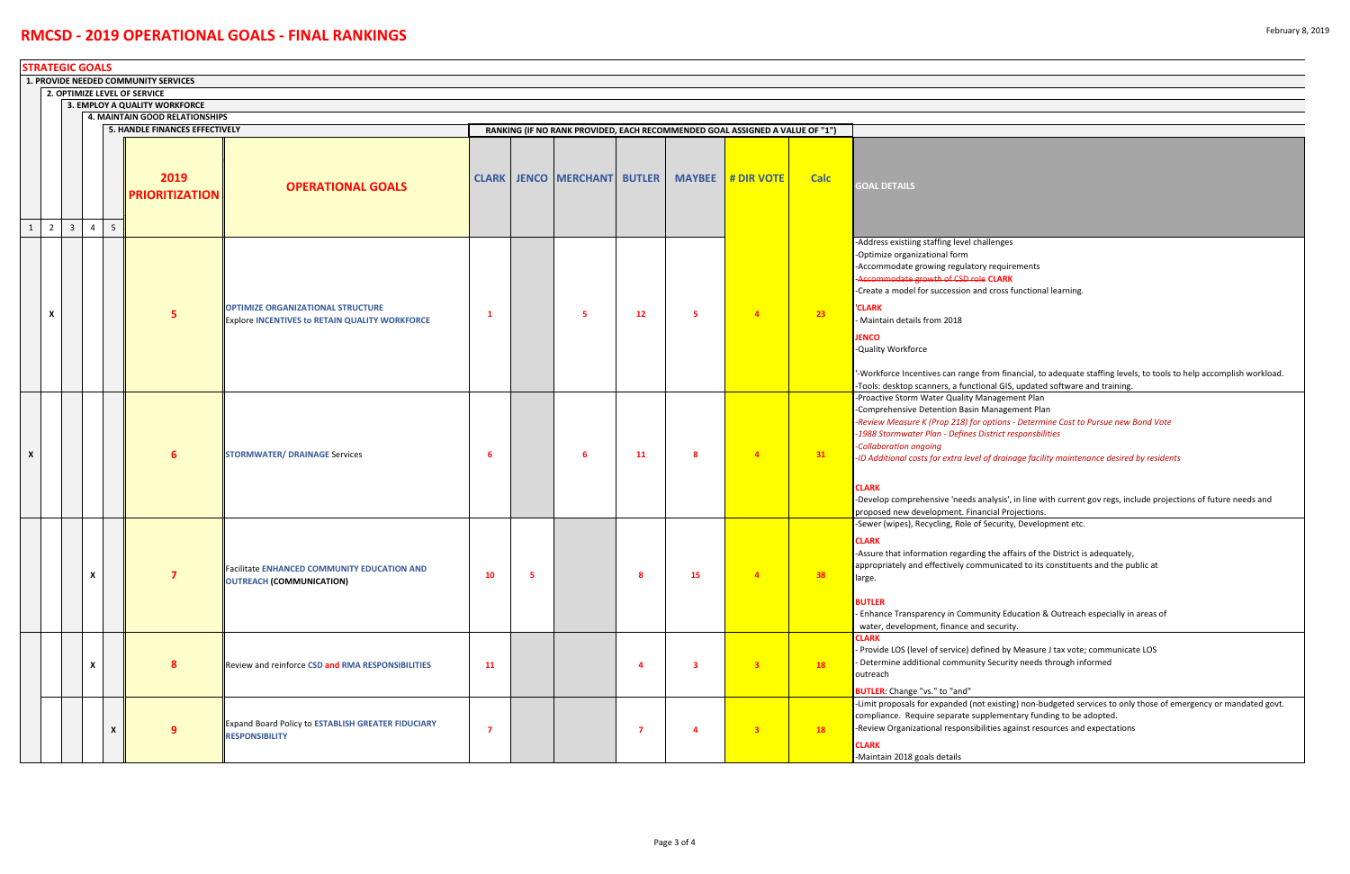| '-Workforce Incentives can range from financial, to adequate staffing levels, to tools to help accomplish workload. |
|---------------------------------------------------------------------------------------------------------------------|
| -Tools: desktop scanners, a functional GIS, updated software and training.                                          |
| -Proactive Storm Water Quality Management Plan                                                                      |
| -Comprehensive Detention Basin Management Plan                                                                      |
| -Review Measure K (Prop 218) for options - Determine Cost to Pursue new Bond Vote                                   |
| -1988 Stormwater Plan - Defines District responsbilities                                                            |
|                                                                                                                     |

of drainage facility maintenance desired by residents

| -Develop comprehensive 'needs analysis', in line with current gov regs, include projections of future needs and |
|-----------------------------------------------------------------------------------------------------------------|
| proposed new development. Financial Projections.                                                                |
| -Sewer (wipes), Recycling, Role of Security, Development etc.                                                   |

g the affairs of the District is adequately, municated to its constituents and the public at

unity Education & Outreach especially in areas of d security.

ined by Measure J tax vote; communicate LOS we Security needs through informed

t existing) non-budgeted services to only those of emergency or mandated govt. pplementary funding to be adopted. lities against resources and expectations

|                                                                 | <b>STRATEGIC GOALS</b> |                |                           |                |                                      |                                                                                                   |                |   |                                    |                |                         |                                                                              |             |                                                                                                                                                                                                                                                                                                                                                                                                                                            |
|-----------------------------------------------------------------|------------------------|----------------|---------------------------|----------------|--------------------------------------|---------------------------------------------------------------------------------------------------|----------------|---|------------------------------------|----------------|-------------------------|------------------------------------------------------------------------------|-------------|--------------------------------------------------------------------------------------------------------------------------------------------------------------------------------------------------------------------------------------------------------------------------------------------------------------------------------------------------------------------------------------------------------------------------------------------|
|                                                                 |                        |                |                           |                | 1. PROVIDE NEEDED COMMUNITY SERVICES |                                                                                                   |                |   |                                    |                |                         |                                                                              |             |                                                                                                                                                                                                                                                                                                                                                                                                                                            |
|                                                                 |                        |                |                           |                | 2. OPTIMIZE LEVEL OF SERVICE         |                                                                                                   |                |   |                                    |                |                         |                                                                              |             |                                                                                                                                                                                                                                                                                                                                                                                                                                            |
| 3. EMPLOY A QUALITY WORKFORCE<br>4. MAINTAIN GOOD RELATIONSHIPS |                        |                |                           |                |                                      |                                                                                                   |                |   |                                    |                |                         |                                                                              |             |                                                                                                                                                                                                                                                                                                                                                                                                                                            |
|                                                                 |                        |                |                           |                | 5. HANDLE FINANCES EFFECTIVELY       |                                                                                                   |                |   |                                    |                |                         | RANKING (IF NO RANK PROVIDED, EACH RECOMMENDED GOAL ASSIGNED A VALUE OF "1") |             |                                                                                                                                                                                                                                                                                                                                                                                                                                            |
|                                                                 |                        |                |                           |                | 2019<br><b>PRIORITIZATION</b>        | <b>OPERATIONAL GOALS</b>                                                                          |                |   | <b>CLARK JENCO MERCHANT BUTLER</b> |                | <b>MAYBEE</b>           | # DIR VOTE                                                                   | <b>Calc</b> | <b>GOAL DETAILS</b>                                                                                                                                                                                                                                                                                                                                                                                                                        |
| $\mathbf{1}$                                                    | 2 <sup>1</sup><br>X    | $\overline{3}$ | $\overline{4}$            | 5 <sup>5</sup> | 5                                    | <b>OPTIMIZE ORGANIZATIONAL STRUCTURE</b><br><b>Explore INCENTIVES to RETAIN QUALITY WORKFORCE</b> | -1             |   | 5                                  | 12             | 5                       | $\overline{4}$                                                               | 23          | -Address existiing staffing level challenges<br>-Optimize organizational form<br>-Accommodate growing regulatory requirements<br>-Accommodate growth of CSD role CLARK<br>-Create a model for succession and cross functional lea<br><b>CLARK</b><br>Maintain details from 2018<br><b>JENCO</b><br>-Quality Workforce<br>'-Workforce Incentives can range from financial, to add<br>-Tools: desktop scanners, a functional GIS, updated so |
| $\boldsymbol{\mathsf{x}}$                                       |                        |                |                           |                | 6                                    | STORMWATER/ DRAINAGE Services                                                                     | -6             |   | -6                                 | <b>11</b>      | 8                       | $\overline{4}$                                                               | 31          | -Proactive Storm Water Quality Management Plan<br>-Comprehensive Detention Basin Management Plan<br>-Review Measure K (Prop 218) for options - Determine<br>-1988 Stormwater Plan - Defines District responsbilities<br>-Collaboration ongoing<br>-ID Additional costs for extra level of drainage facility n<br><b>CLARK</b>                                                                                                              |
|                                                                 |                        |                | X                         |                |                                      | <b>Facilitate ENHANCED COMMUNITY EDUCATION AND</b><br>OUTREACH (COMMUNICATION)                    | 10             | 5 |                                    | -8             | 15                      | $\overline{a}$                                                               | 38          | -Develop comprehensive 'needs analysis', in line with<br>proposed new development. Financial Projections.<br>-Sewer (wipes), Recycling, Role of Security, Developme<br><b>CLARK</b><br>-Assure that information regarding the affairs of the D<br>appropriately and effectively communicated to its con<br>large.<br><b>BUTLER</b><br>Enhance Transparency in Community Education & Ou<br>water, development, finance and security.        |
|                                                                 |                        |                | $\boldsymbol{\mathsf{x}}$ |                | 8                                    | Review and reinforce CSD and RMA RESPONSIBILITIES                                                 | 11             |   |                                    | 4              | $\overline{\mathbf{3}}$ | 3 <sup>2</sup>                                                               | 18          | <b>CLARK</b><br>Provide LOS (level of service) defined by Measure J ta<br>Determine additional community Security needs thro<br>outreach                                                                                                                                                                                                                                                                                                   |
|                                                                 |                        |                |                           | X              | 9                                    | <b>Expand Board Policy to ESTABLISH GREATER FIDUCIARY</b><br><b>RESPONSIBILITY</b>                | $\overline{7}$ |   |                                    | $\overline{7}$ | $\overline{4}$          | 3 <sup>2</sup>                                                               | <b>18</b>   | BUTLER: Change "vs." to "and"<br>-Limit proposals for expanded (not existing) non-budge<br>compliance. Require separate supplementary funding<br>-Review Organizational responsibilities against resourd<br><b>CLARK</b><br>-Maintain 2018 goals details                                                                                                                                                                                   |

y requirements ‐Accommodate growth of CSD role **CLARK** d cross functional learning.